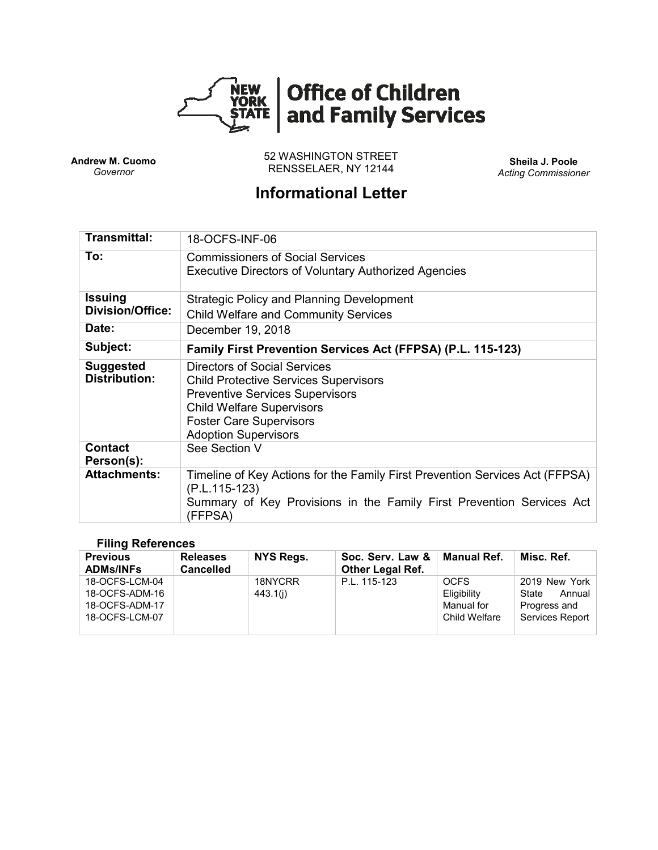

**Andrew M. Cuomo** *Governor*

52 WASHINGTON STREET RENSSELAER, NY 12144 **Sheila J. Poole**

*Acting Commissioner*

# **Informational Letter**

| <b>Transmittal:</b>                       | 18-OCFS-INF-06                                                                                                                                                                                                                     |
|-------------------------------------------|------------------------------------------------------------------------------------------------------------------------------------------------------------------------------------------------------------------------------------|
| To:                                       | <b>Commissioners of Social Services</b><br><b>Executive Directors of Voluntary Authorized Agencies</b>                                                                                                                             |
| <b>Issuing</b><br><b>Division/Office:</b> | <b>Strategic Policy and Planning Development</b><br><b>Child Welfare and Community Services</b>                                                                                                                                    |
| Date:                                     | December 19, 2018                                                                                                                                                                                                                  |
| Subject:                                  | Family First Prevention Services Act (FFPSA) (P.L. 115-123)                                                                                                                                                                        |
| <b>Suggested</b><br><b>Distribution:</b>  | <b>Directors of Social Services</b><br><b>Child Protective Services Supervisors</b><br><b>Preventive Services Supervisors</b><br><b>Child Welfare Supervisors</b><br><b>Foster Care Supervisors</b><br><b>Adoption Supervisors</b> |
| <b>Contact</b><br>Person(s):              | See Section V                                                                                                                                                                                                                      |
| <b>Attachments:</b>                       | Timeline of Key Actions for the Family First Prevention Services Act (FFPSA)<br>(P.L.115-123)<br>Summary of Key Provisions in the Family First Prevention Services Act<br>(FFPSA)                                                  |

#### **Filing References**

| <b>Previous</b><br><b>ADMs/INFs</b>                                  | <b>Releases</b><br><b>Cancelled</b> | <b>NYS Regs.</b>    | Soc. Serv. Law &<br><b>Other Legal Ref.</b> | Manual Ref.                                               | Misc. Ref.                                                          |
|----------------------------------------------------------------------|-------------------------------------|---------------------|---------------------------------------------|-----------------------------------------------------------|---------------------------------------------------------------------|
| 18-OCFS-LCM-04<br>18-OCFS-ADM-16<br>18-OCFS-ADM-17<br>18-OCFS-LCM-07 |                                     | 18NYCRR<br>443.1(i) | P.L. 115-123                                | <b>OCFS</b><br>Eligibility<br>Manual for<br>Child Welfare | 2019 New York<br>State<br>Annual<br>Progress and<br>Services Report |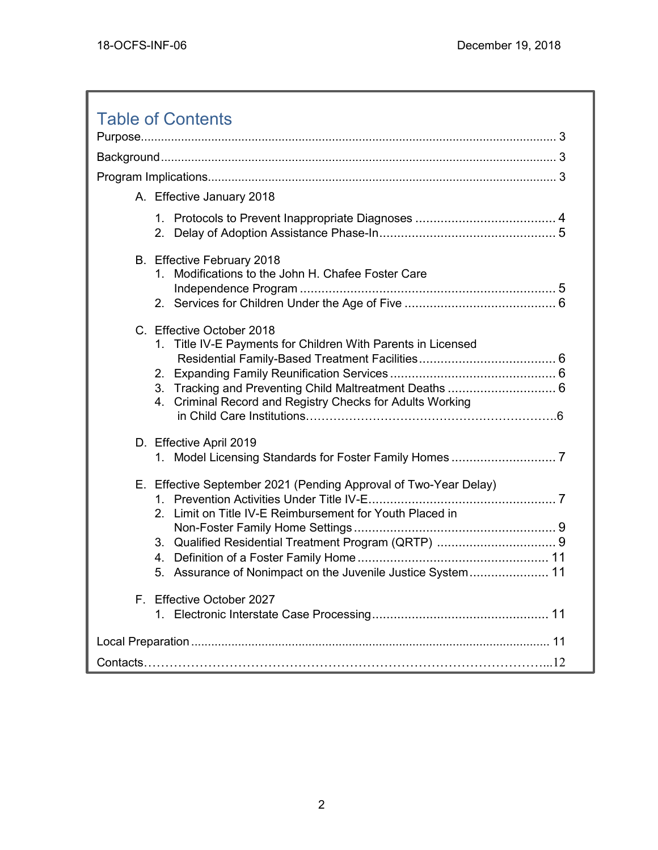| <b>Table of Contents</b>                                                                                                                                                                                             |  |  |  |
|----------------------------------------------------------------------------------------------------------------------------------------------------------------------------------------------------------------------|--|--|--|
|                                                                                                                                                                                                                      |  |  |  |
|                                                                                                                                                                                                                      |  |  |  |
|                                                                                                                                                                                                                      |  |  |  |
| A. Effective January 2018                                                                                                                                                                                            |  |  |  |
| 2.                                                                                                                                                                                                                   |  |  |  |
| B. Effective February 2018<br>Modifications to the John H. Chafee Foster Care<br>1.                                                                                                                                  |  |  |  |
| C. Effective October 2018<br>1. Title IV-E Payments for Children With Parents in Licensed<br>3. Tracking and Preventing Child Maltreatment Deaths  6<br>Criminal Record and Registry Checks for Adults Working<br>4. |  |  |  |
| D. Effective April 2019                                                                                                                                                                                              |  |  |  |
| E. Effective September 2021 (Pending Approval of Two-Year Delay)<br>2. Limit on Title IV-E Reimbursement for Youth Placed in<br>4.<br>5. Assurance of Nonimpact on the Juvenile Justice System 11                    |  |  |  |
| F. Effective October 2027                                                                                                                                                                                            |  |  |  |
|                                                                                                                                                                                                                      |  |  |  |
|                                                                                                                                                                                                                      |  |  |  |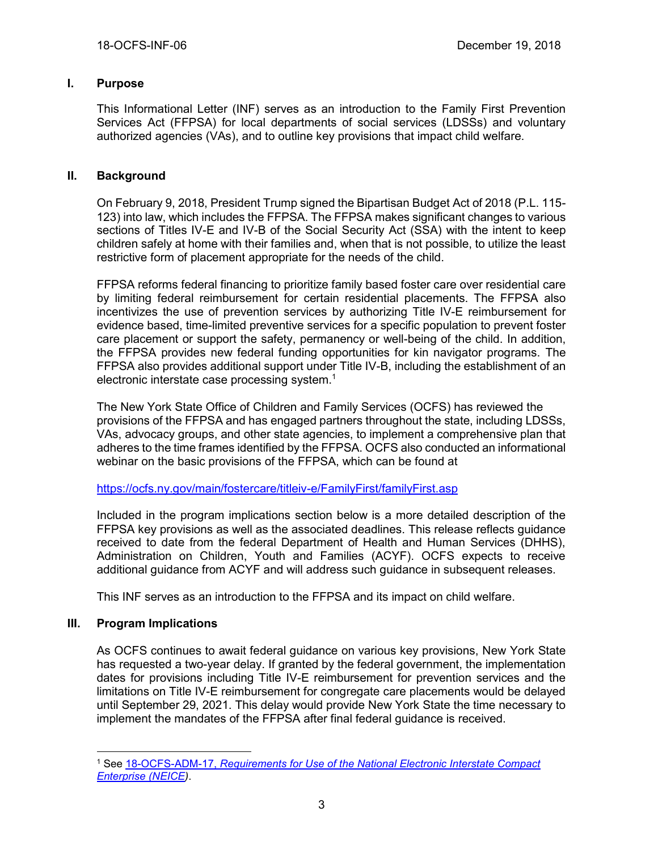# **I. Purpose**

This Informational Letter (INF) serves as an introduction to the Family First Prevention Services Act (FFPSA) for local departments of social services (LDSSs) and voluntary authorized agencies (VAs), and to outline key provisions that impact child welfare.

# **II. Background**

On February 9, 2018, President Trump signed the Bipartisan Budget Act of 2018 (P.L. 115- 123) into law, which includes the FFPSA. The FFPSA makes significant changes to various sections of Titles IV-E and IV-B of the Social Security Act (SSA) with the intent to keep children safely at home with their families and, when that is not possible, to utilize the least restrictive form of placement appropriate for the needs of the child.

FFPSA reforms federal financing to prioritize family based foster care over residential care by limiting federal reimbursement for certain residential placements. The FFPSA also incentivizes the use of prevention services by authorizing Title IV-E reimbursement for evidence based, time-limited preventive services for a specific population to prevent foster care placement or support the safety, permanency or well-being of the child. In addition, the FFPSA provides new federal funding opportunities for kin navigator programs. The FFPSA also provides additional support under Title IV-B, including the establishment of an electronic interstate case processing system.<sup>1</sup>

The New York State Office of Children and Family Services (OCFS) has reviewed the provisions of the FFPSA and has engaged partners throughout the state, including LDSSs, VAs, advocacy groups, and other state agencies, to implement a comprehensive plan that adheres to the time frames identified by the FFPSA. OCFS also conducted an informational webinar on the basic provisions of the FFPSA, which can be found at

<https://ocfs.ny.gov/main/fostercare/titleiv-e/FamilyFirst/familyFirst.asp>

Included in the program implications section below is a more detailed description of the FFPSA key provisions as well as the associated deadlines. This release reflects guidance received to date from the federal Department of Health and Human Services (DHHS), Administration on Children, Youth and Families (ACYF). OCFS expects to receive additional guidance from ACYF and will address such guidance in subsequent releases.

This INF serves as an introduction to the FFPSA and its impact on child welfare.

#### **III. Program Implications**

As OCFS continues to await federal guidance on various key provisions, New York State has requested a two-year delay. If granted by the federal government, the implementation dates for provisions including Title IV-E reimbursement for prevention services and the limitations on Title IV-E reimbursement for congregate care placements would be delayed until September 29, 2021. This delay would provide New York State the time necessary to implement the mandates of the FFPSA after final federal guidance is received.

 $\overline{a}$ <sup>1</sup> See 18-OCFS-ADM-17, *[Requirements for Use of the National Electronic Interstate Compact](https://ocfs.ny.gov/main/policies/external/ocfs_2018/ADM/18-OCFS-ADM-17.docx)  [Enterprise \(NEICE\)](https://ocfs.ny.gov/main/policies/external/ocfs_2018/ADM/18-OCFS-ADM-17.docx)*.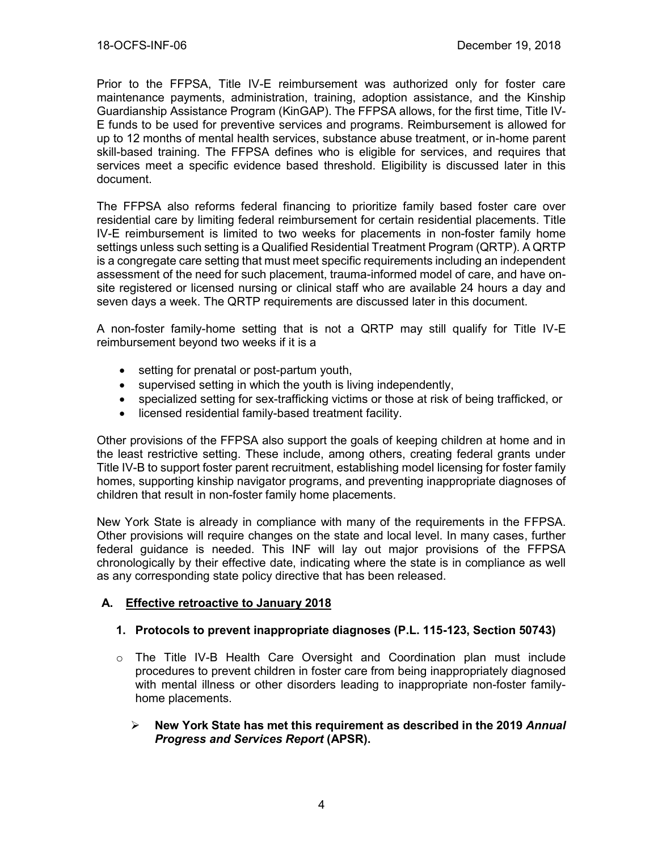Prior to the FFPSA, Title IV-E reimbursement was authorized only for foster care maintenance payments, administration, training, adoption assistance, and the Kinship Guardianship Assistance Program (KinGAP). The FFPSA allows, for the first time, Title IV-E funds to be used for preventive services and programs. Reimbursement is allowed for up to 12 months of mental health services, substance abuse treatment, or in-home parent skill-based training. The FFPSA defines who is eligible for services, and requires that services meet a specific evidence based threshold. Eligibility is discussed later in this document.

The FFPSA also reforms federal financing to prioritize family based foster care over residential care by limiting federal reimbursement for certain residential placements. Title IV-E reimbursement is limited to two weeks for placements in non-foster family home settings unless such setting is a Qualified Residential Treatment Program (QRTP). A QRTP is a congregate care setting that must meet specific requirements including an independent assessment of the need for such placement, trauma-informed model of care, and have onsite registered or licensed nursing or clinical staff who are available 24 hours a day and seven days a week. The QRTP requirements are discussed later in this document.

A non-foster family-home setting that is not a QRTP may still qualify for Title IV-E reimbursement beyond two weeks if it is a

- setting for prenatal or post-partum youth,
- supervised setting in which the youth is living independently,
- specialized setting for sex-trafficking victims or those at risk of being trafficked, or
- licensed residential family-based treatment facility.

Other provisions of the FFPSA also support the goals of keeping children at home and in the least restrictive setting. These include, among others, creating federal grants under Title IV-B to support foster parent recruitment, establishing model licensing for foster family homes, supporting kinship navigator programs, and preventing inappropriate diagnoses of children that result in non-foster family home placements.

New York State is already in compliance with many of the requirements in the FFPSA. Other provisions will require changes on the state and local level. In many cases, further federal guidance is needed. This INF will lay out major provisions of the FFPSA chronologically by their effective date, indicating where the state is in compliance as well as any corresponding state policy directive that has been released.

#### **A. Effective retroactive to January 2018**

#### **1. Protocols to prevent inappropriate diagnoses (P.L. 115-123, Section 50743)**

- $\circ$  The Title IV-B Health Care Oversight and Coordination plan must include procedures to prevent children in foster care from being inappropriately diagnosed with mental illness or other disorders leading to inappropriate non-foster familyhome placements.
	- ➢ **New York State has met this requirement as described in the 2019** *Annual Progress and Services Report* **(APSR).**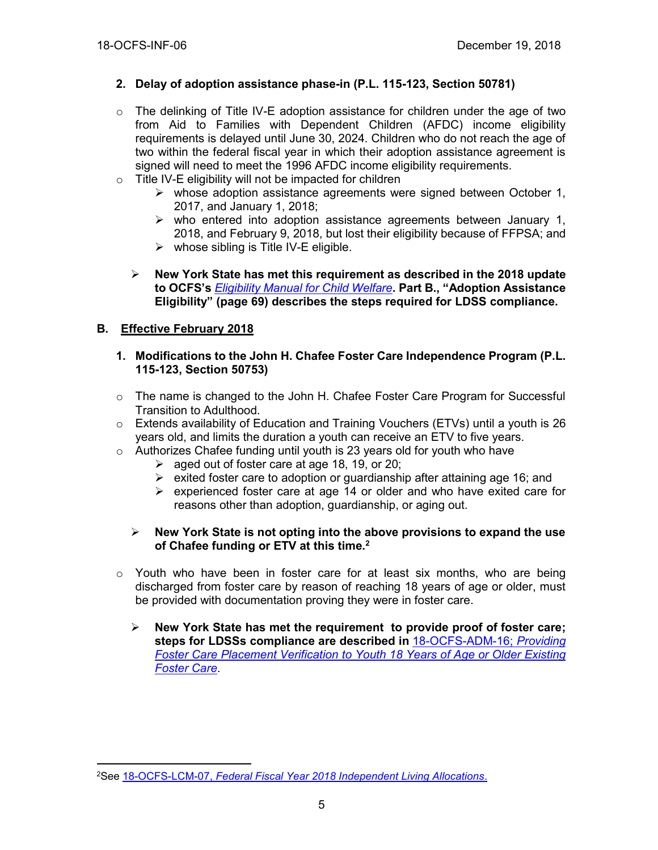# **2. Delay of adoption assistance phase-in (P.L. 115-123, Section 50781)**

- o The delinking of Title IV-E adoption assistance for children under the age of two from Aid to Families with Dependent Children (AFDC) income eligibility requirements is delayed until June 30, 2024. Children who do not reach the age of two within the federal fiscal year in which their adoption assistance agreement is signed will need to meet the 1996 AFDC income eligibility requirements.
- $\circ$  Title IV-E eligibility will not be impacted for children
	- $\triangleright$  whose adoption assistance agreements were signed between October 1, 2017, and January 1, 2018;
	- $\triangleright$  who entered into adoption assistance agreements between January 1, 2018, and February 9, 2018, but lost their eligibility because of FFPSA; and
	- $\triangleright$  whose sibling is Title IV-E eligible.
	- ➢ **New York State has met this requirement as described in the 2018 update to OCFS's** *[Eligibility Manual for Child Welfare](https://ocfs.ny.gov/main/publications/eligibility/2018-Eligibility-Manual.pdf)***. Part B., "Adoption Assistance Eligibility" (page 69) describes the steps required for LDSS compliance.**

# **B. Effective February 2018**

- **1. Modifications to the John H. Chafee Foster Care Independence Program (P.L. 115-123, Section 50753)**
- $\circ$  The name is changed to the John H. Chafee Foster Care Program for Successful Transition to Adulthood.
- o Extends availability of Education and Training Vouchers (ETVs) until a youth is 26 years old, and limits the duration a youth can receive an ETV to five years.
- o Authorizes Chafee funding until youth is 23 years old for youth who have
	- $\geq$  aged out of foster care at age 18, 19, or 20;
	- $\triangleright$  exited foster care to adoption or guardianship after attaining age 16; and
	- ➢ experienced foster care at age 14 or older and who have exited care for reasons other than adoption, guardianship, or aging out.
	- ➢ **New York State is not opting into the above provisions to expand the use of Chafee funding or ETV at this time.<sup>2</sup>**
- $\circ$  Youth who have been in foster care for at least six months, who are being discharged from foster care by reason of reaching 18 years of age or older, must be provided with documentation proving they were in foster care.
	- ➢ **New York State has met the requirement to provide proof of foster care; steps for LDSSs compliance are described in** [18-OCFS-ADM-16;](https://ocfs.ny.gov/main/policies/external/ocfs_2018/ADM/18-OCFS-ADM-16.docx) *Providing [Foster Care Placement Verification to Youth 18 Years of Age or Older Existing](https://ocfs.ny.gov/main/policies/external/ocfs_2018/ADM/18-OCFS-ADM-16.docx)  [Foster Care](https://ocfs.ny.gov/main/policies/external/ocfs_2018/ADM/18-OCFS-ADM-16.docx)*.

 $\overline{a}$ <sup>2</sup>See 18-OCFS-LCM-07, *[Federal Fiscal Year 2018 Independent Living Allocations](https://ocfs.ny.gov/main/policies/external/#LCM)*.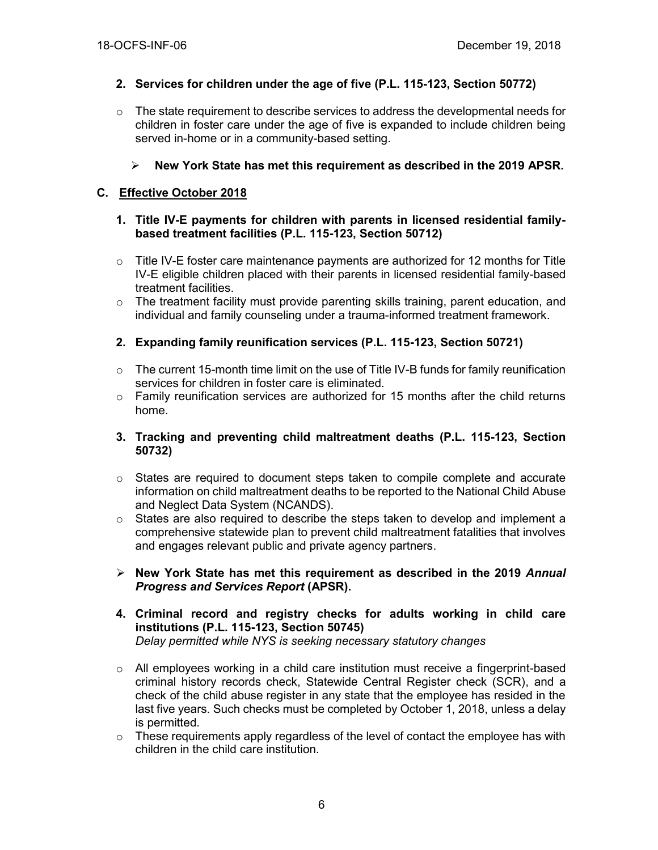# **2. Services for children under the age of five (P.L. 115-123, Section 50772)**

- $\circ$  The state requirement to describe services to address the developmental needs for children in foster care under the age of five is expanded to include children being served in-home or in a community-based setting.
	- ➢ **New York State has met this requirement as described in the 2019 APSR.**

## **C. Effective October 2018**

- **1. Title IV-E payments for children with parents in licensed residential familybased treatment facilities (P.L. 115-123, Section 50712)**
- $\circ$  Title IV-E foster care maintenance payments are authorized for 12 months for Title IV-E eligible children placed with their parents in licensed residential family-based treatment facilities.
- o The treatment facility must provide parenting skills training, parent education, and individual and family counseling under a trauma-informed treatment framework.
- **2. Expanding family reunification services (P.L. 115-123, Section 50721)**
- $\circ$  The current 15-month time limit on the use of Title IV-B funds for family reunification services for children in foster care is eliminated.
- $\circ$  Family reunification services are authorized for 15 months after the child returns home.
- **3. Tracking and preventing child maltreatment deaths (P.L. 115-123, Section 50732)**
- $\circ$  States are required to document steps taken to compile complete and accurate information on child maltreatment deaths to be reported to the National Child Abuse and Neglect Data System (NCANDS).
- $\circ$  States are also required to describe the steps taken to develop and implement a comprehensive statewide plan to prevent child maltreatment fatalities that involves and engages relevant public and private agency partners.
- ➢ **New York State has met this requirement as described in the 2019** *Annual Progress and Services Report* **(APSR).**
- **4. Criminal record and registry checks for adults working in child care institutions (P.L. 115-123, Section 50745)** *Delay permitted while NYS is seeking necessary statutory changes*
- $\circ$  All employees working in a child care institution must receive a fingerprint-based criminal history records check, Statewide Central Register check (SCR), and a check of the child abuse register in any state that the employee has resided in the last five years. Such checks must be completed by October 1, 2018, unless a delay is permitted.
- $\circ$  These requirements apply regardless of the level of contact the employee has with children in the child care institution.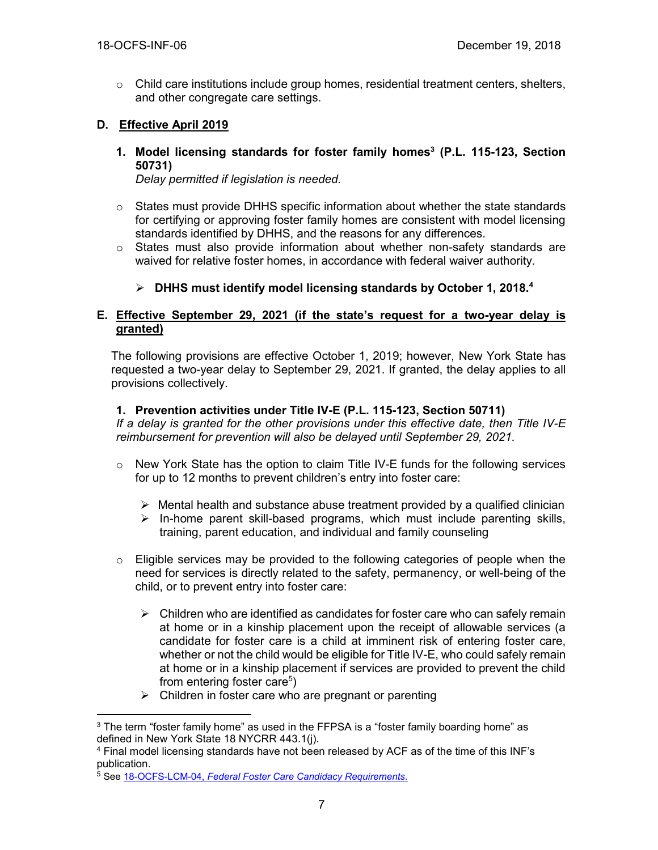o Child care institutions include group homes, residential treatment centers, shelters, and other congregate care settings.

# **D. Effective April 2019**

**1. Model licensing standards for foster family homes<sup>3</sup> (P.L. 115-123, Section 50731)**

*Delay permitted if legislation is needed.*

- $\circ$  States must provide DHHS specific information about whether the state standards for certifying or approving foster family homes are consistent with model licensing standards identified by DHHS, and the reasons for any differences.
- $\circ$  States must also provide information about whether non-safety standards are waived for relative foster homes, in accordance with federal waiver authority.

# ➢ **DHHS must identify model licensing standards by October 1, 2018.<sup>4</sup>**

#### **E. Effective September 29, 2021 (if the state's request for a two-year delay is granted)**

The following provisions are effective October 1, 2019; however, New York State has requested a two-year delay to September 29, 2021. If granted, the delay applies to all provisions collectively.

#### **1. Prevention activities under Title IV-E (P.L. 115-123, Section 50711)**

*If a delay is granted for the other provisions under this effective date, then Title IV-E reimbursement for prevention will also be delayed until September 29, 2021.*

- $\circ$  New York State has the option to claim Title IV-E funds for the following services for up to 12 months to prevent children's entry into foster care:
	- $\triangleright$  Mental health and substance abuse treatment provided by a qualified clinician
	- $\triangleright$  In-home parent skill-based programs, which must include parenting skills, training, parent education, and individual and family counseling
- $\circ$  Eligible services may be provided to the following categories of people when the need for services is directly related to the safety, permanency, or well-being of the child, or to prevent entry into foster care:
	- $\triangleright$  Children who are identified as candidates for foster care who can safely remain at home or in a kinship placement upon the receipt of allowable services (a candidate for foster care is a child at imminent risk of entering foster care, whether or not the child would be eligible for Title IV-E, who could safely remain at home or in a kinship placement if services are provided to prevent the child from entering foster care<sup>5</sup>)
	- $\triangleright$  Children in foster care who are pregnant or parenting

 $\overline{a}$ <sup>3</sup> The term "foster family home" as used in the FFPSA is a "foster family boarding home" as defined in New York State 18 NYCRR 443.1(j).

<sup>4</sup> Final model licensing standards have not been released by ACF as of the time of this INF's publication.

<sup>5</sup> See 18-OCFS-LCM-04, *[Federal Foster Care Candidacy Requirements.](https://ocfs.ny.gov/main/policies/external/ocfs_2018/LCM/18-OCFS-LCM-04.docx)*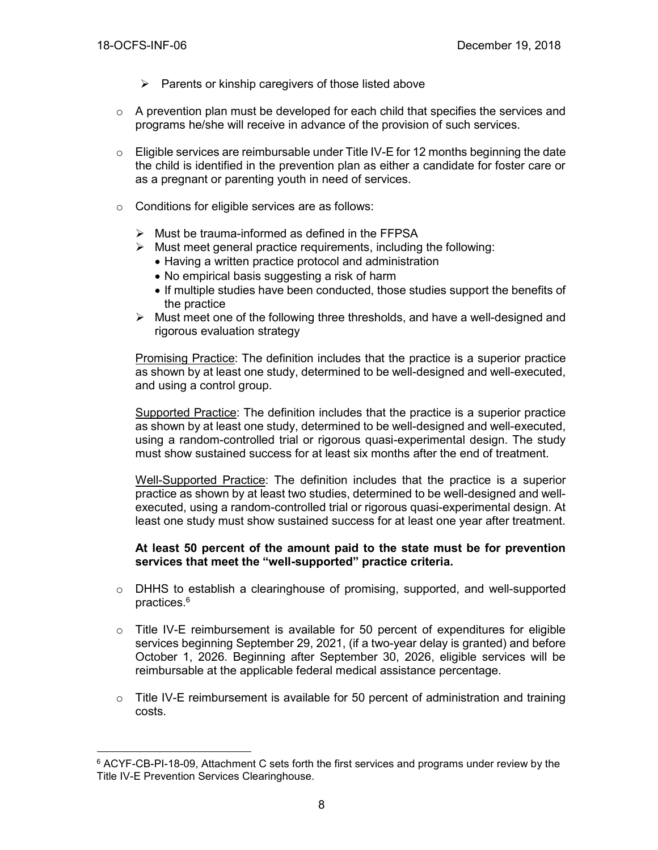$\overline{a}$ 

- $\triangleright$  Parents or kinship caregivers of those listed above
- $\circ$  A prevention plan must be developed for each child that specifies the services and programs he/she will receive in advance of the provision of such services.
- $\circ$  Eligible services are reimbursable under Title IV-E for 12 months beginning the date the child is identified in the prevention plan as either a candidate for foster care or as a pregnant or parenting youth in need of services.
- o Conditions for eligible services are as follows:
	- $\triangleright$  Must be trauma-informed as defined in the FFPSA
	- $\triangleright$  Must meet general practice requirements, including the following:
		- Having a written practice protocol and administration
		- No empirical basis suggesting a risk of harm
		- If multiple studies have been conducted, those studies support the benefits of the practice
	- $\triangleright$  Must meet one of the following three thresholds, and have a well-designed and rigorous evaluation strategy

Promising Practice: The definition includes that the practice is a superior practice as shown by at least one study, determined to be well-designed and well-executed, and using a control group.

Supported Practice: The definition includes that the practice is a superior practice as shown by at least one study, determined to be well-designed and well-executed, using a random-controlled trial or rigorous quasi-experimental design. The study must show sustained success for at least six months after the end of treatment.

Well-Supported Practice: The definition includes that the practice is a superior practice as shown by at least two studies, determined to be well-designed and wellexecuted, using a random-controlled trial or rigorous quasi-experimental design. At least one study must show sustained success for at least one year after treatment.

#### **At least 50 percent of the amount paid to the state must be for prevention services that meet the "well-supported" practice criteria.**

- $\circ$  DHHS to establish a clearinghouse of promising, supported, and well-supported practices.<sup>6</sup>
- $\circ$  Title IV-E reimbursement is available for 50 percent of expenditures for eligible services beginning September 29, 2021, (if a two-year delay is granted) and before October 1, 2026. Beginning after September 30, 2026, eligible services will be reimbursable at the applicable federal medical assistance percentage.
- $\circ$  Title IV-E reimbursement is available for 50 percent of administration and training costs.

<sup>6</sup> ACYF-CB-PI-18-09, Attachment C sets forth the first services and programs under review by the Title IV-E Prevention Services Clearinghouse.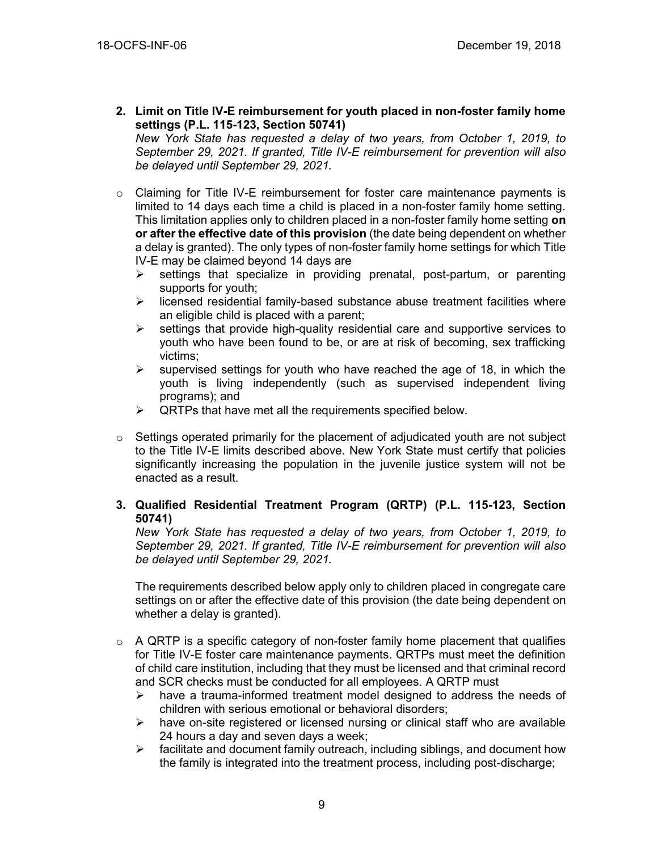**2. Limit on Title IV-E reimbursement for youth placed in non-foster family home settings (P.L. 115-123, Section 50741)**

*New York State has requested a delay of two years, from October 1, 2019, to September 29, 2021. If granted, Title IV-E reimbursement for prevention will also be delayed until September 29, 2021.*

- $\circ$  Claiming for Title IV-E reimbursement for foster care maintenance payments is limited to 14 days each time a child is placed in a non-foster family home setting. This limitation applies only to children placed in a non-foster family home setting **on or after the effective date of this provision** (the date being dependent on whether a delay is granted). The only types of non-foster family home settings for which Title IV-E may be claimed beyond 14 days are
	- $\triangleright$  settings that specialize in providing prenatal, post-partum, or parenting supports for youth;
	- ➢ licensed residential family-based substance abuse treatment facilities where an eligible child is placed with a parent;
	- $\triangleright$  settings that provide high-quality residential care and supportive services to youth who have been found to be, or are at risk of becoming, sex trafficking victims;
	- $\triangleright$  supervised settings for youth who have reached the age of 18, in which the youth is living independently (such as supervised independent living programs); and
	- $\triangleright$  QRTPs that have met all the requirements specified below.
- o Settings operated primarily for the placement of adjudicated youth are not subject to the Title IV-E limits described above. New York State must certify that policies significantly increasing the population in the juvenile justice system will not be enacted as a result.

# **3. Qualified Residential Treatment Program (QRTP) (P.L. 115-123, Section 50741)**

*New York State has requested a delay of two years, from October 1, 2019, to September 29, 2021. If granted, Title IV-E reimbursement for prevention will also be delayed until September 29, 2021.*

The requirements described below apply only to children placed in congregate care settings on or after the effective date of this provision (the date being dependent on whether a delay is granted).

- $\circ$  A QRTP is a specific category of non-foster family home placement that qualifies for Title IV-E foster care maintenance payments. QRTPs must meet the definition of child care institution, including that they must be licensed and that criminal record and SCR checks must be conducted for all employees. A QRTP must
	- $\triangleright$  have a trauma-informed treatment model designed to address the needs of children with serious emotional or behavioral disorders;
	- $\triangleright$  have on-site registered or licensed nursing or clinical staff who are available 24 hours a day and seven days a week;
	- ➢ facilitate and document family outreach, including siblings, and document how the family is integrated into the treatment process, including post-discharge;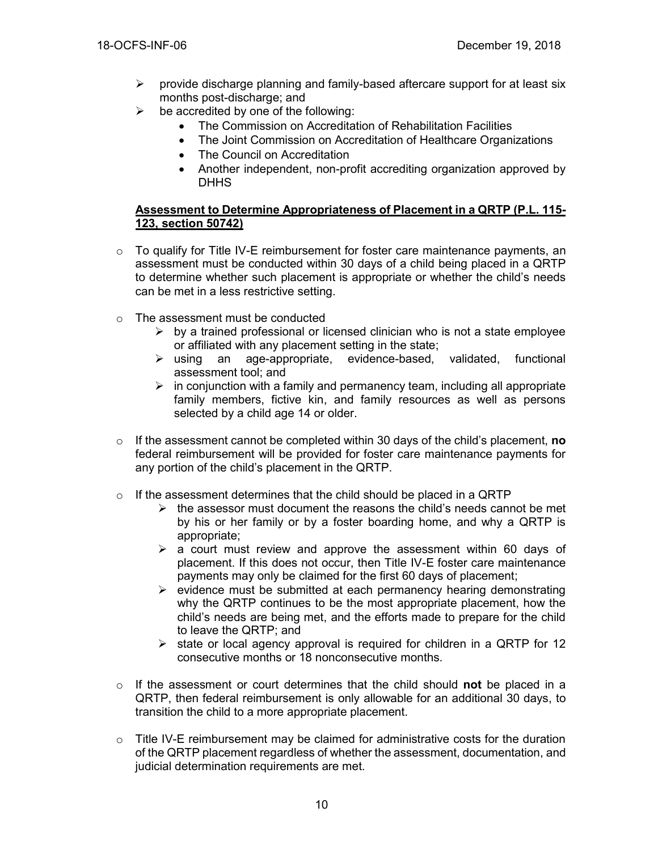- $\triangleright$  provide discharge planning and family-based aftercare support for at least six months post-discharge; and
- $\triangleright$  be accredited by one of the following:
	- The Commission on Accreditation of Rehabilitation Facilities
	- The Joint Commission on Accreditation of Healthcare Organizations
	- The Council on Accreditation
	- Another independent, non-profit accrediting organization approved by **DHHS**

#### **Assessment to Determine Appropriateness of Placement in a QRTP (P.L. 115- 123, section 50742)**

- $\circ$  To qualify for Title IV-E reimbursement for foster care maintenance payments, an assessment must be conducted within 30 days of a child being placed in a QRTP to determine whether such placement is appropriate or whether the child's needs can be met in a less restrictive setting.
- o The assessment must be conducted
	- $\triangleright$  by a trained professional or licensed clinician who is not a state employee or affiliated with any placement setting in the state;
	- ➢ using an age-appropriate, evidence-based, validated, functional assessment tool; and
	- $\triangleright$  in conjunction with a family and permanency team, including all appropriate family members, fictive kin, and family resources as well as persons selected by a child age 14 or older.
- o If the assessment cannot be completed within 30 days of the child's placement, **no** federal reimbursement will be provided for foster care maintenance payments for any portion of the child's placement in the QRTP.
- $\circ$  If the assessment determines that the child should be placed in a QRTP
	- $\triangleright$  the assessor must document the reasons the child's needs cannot be met by his or her family or by a foster boarding home, and why a QRTP is appropriate;
	- $\geq$  a court must review and approve the assessment within 60 days of placement. If this does not occur, then Title IV-E foster care maintenance payments may only be claimed for the first 60 days of placement;
	- $\triangleright$  evidence must be submitted at each permanency hearing demonstrating why the QRTP continues to be the most appropriate placement, how the child's needs are being met, and the efforts made to prepare for the child to leave the QRTP; and
	- $\triangleright$  state or local agency approval is required for children in a QRTP for 12 consecutive months or 18 nonconsecutive months.
- o If the assessment or court determines that the child should **not** be placed in a QRTP, then federal reimbursement is only allowable for an additional 30 days, to transition the child to a more appropriate placement.
- $\circ$  Title IV-E reimbursement may be claimed for administrative costs for the duration of the QRTP placement regardless of whether the assessment, documentation, and judicial determination requirements are met.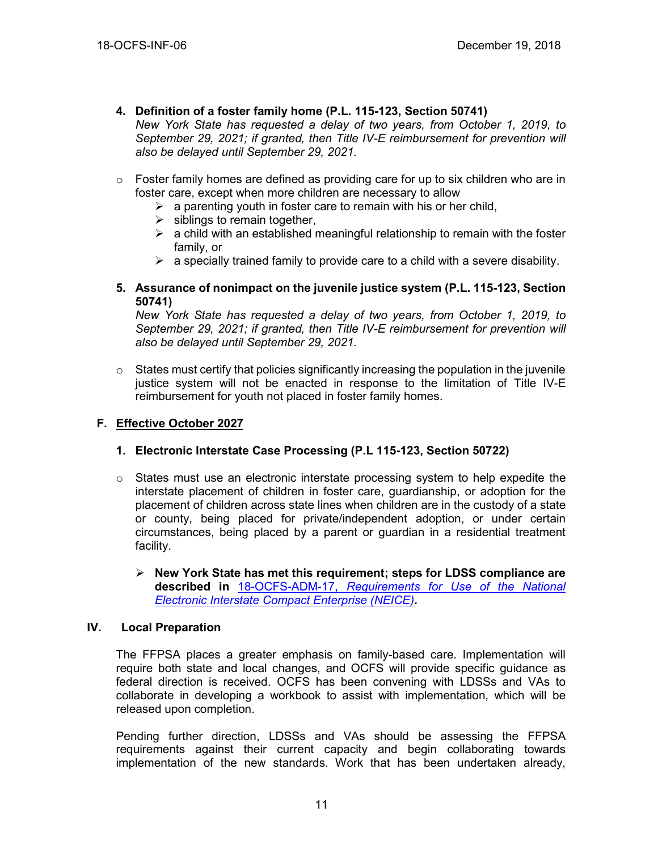- **4. Definition of a foster family home (P.L. 115-123, Section 50741)** *New York State has requested a delay of two years, from October 1, 2019, to September 29, 2021; if granted, then Title IV-E reimbursement for prevention will also be delayed until September 29, 2021.*
- $\circ$  Foster family homes are defined as providing care for up to six children who are in foster care, except when more children are necessary to allow
	- $\triangleright$  a parenting youth in foster care to remain with his or her child,
	- $\triangleright$  siblings to remain together,
	- $\triangleright$  a child with an established meaningful relationship to remain with the foster family, or
	- $\triangleright$  a specially trained family to provide care to a child with a severe disability.

#### **5. Assurance of nonimpact on the juvenile justice system (P.L. 115-123, Section 50741)**

*New York State has requested a delay of two years, from October 1, 2019, to September 29, 2021; if granted, then Title IV-E reimbursement for prevention will also be delayed until September 29, 2021.*

 $\circ$  States must certify that policies significantly increasing the population in the juvenile justice system will not be enacted in response to the limitation of Title IV-E reimbursement for youth not placed in foster family homes.

# **F. Effective October 2027**

# **1. Electronic Interstate Case Processing (P.L 115-123, Section 50722)**

- $\circ$  States must use an electronic interstate processing system to help expedite the interstate placement of children in foster care, guardianship, or adoption for the placement of children across state lines when children are in the custody of a state or county, being placed for private/independent adoption, or under certain circumstances, being placed by a parent or guardian in a residential treatment facility.
	- ➢ **New York State has met this requirement; steps for LDSS compliance are described in** 18-OCFS-ADM-17, *[Requirements for Use of the National](https://ocfs.ny.gov/main/policies/external/ocfs_2018/ADM/18-OCFS-ADM-17.docx)  [Electronic Interstate Compact Enterprise \(NEICE\)](https://ocfs.ny.gov/main/policies/external/ocfs_2018/ADM/18-OCFS-ADM-17.docx).*

#### **IV. Local Preparation**

The FFPSA places a greater emphasis on family-based care. Implementation will require both state and local changes, and OCFS will provide specific guidance as federal direction is received. OCFS has been convening with LDSSs and VAs to collaborate in developing a workbook to assist with implementation, which will be released upon completion.

Pending further direction, LDSSs and VAs should be assessing the FFPSA requirements against their current capacity and begin collaborating towards implementation of the new standards. Work that has been undertaken already,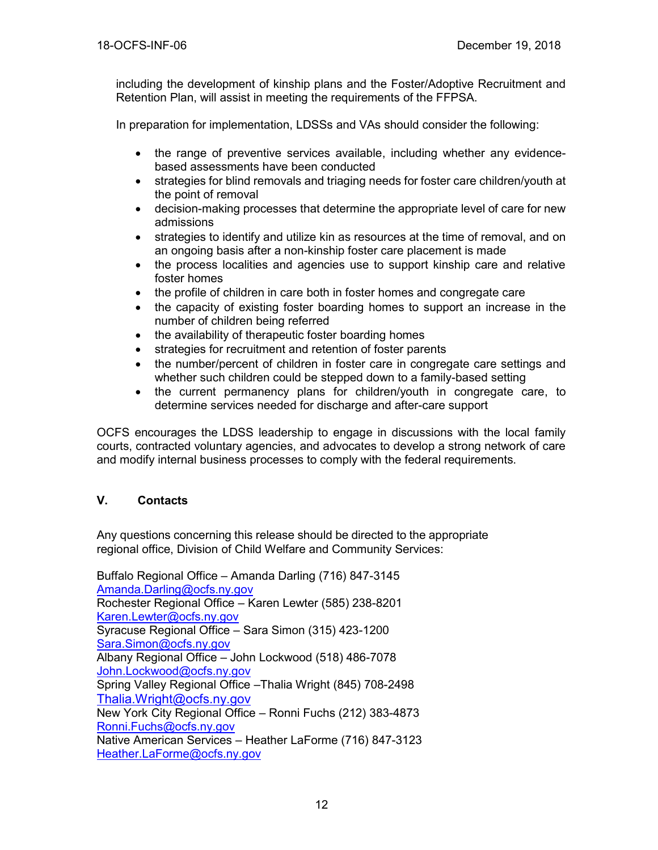including the development of kinship plans and the Foster/Adoptive Recruitment and Retention Plan, will assist in meeting the requirements of the FFPSA.

In preparation for implementation, LDSSs and VAs should consider the following:

- the range of preventive services available, including whether any evidencebased assessments have been conducted
- strategies for blind removals and triaging needs for foster care children/youth at the point of removal
- decision-making processes that determine the appropriate level of care for new admissions
- strategies to identify and utilize kin as resources at the time of removal, and on an ongoing basis after a non-kinship foster care placement is made
- the process localities and agencies use to support kinship care and relative foster homes
- the profile of children in care both in foster homes and congregate care
- the capacity of existing foster boarding homes to support an increase in the number of children being referred
- the availability of therapeutic foster boarding homes
- strategies for recruitment and retention of foster parents
- the number/percent of children in foster care in congregate care settings and whether such children could be stepped down to a family-based setting
- the current permanency plans for children/youth in congregate care, to determine services needed for discharge and after-care support

OCFS encourages the LDSS leadership to engage in discussions with the local family courts, contracted voluntary agencies, and advocates to develop a strong network of care and modify internal business processes to comply with the federal requirements.

# **V. Contacts**

Any questions concerning this release should be directed to the appropriate regional office, Division of Child Welfare and Community Services:

Buffalo Regional Office – Amanda Darling (716) 847-3145 [Amanda.Darling@ocfs.ny.gov](mailto:Amanda.Darling@ocfs.ny.gov) Rochester Regional Office – Karen Lewter (585) 238-8201 [Karen.Lewter@ocfs.ny.gov](mailto:Karen.Lewter@ocfs.ny.gov) Syracuse Regional Office – Sara Simon (315) 423-1200 [Sara.Simon@ocfs.ny.gov](mailto:Sara.Simon@ocfs.ny.gov) Albany Regional Office – John Lockwood (518) 486-7078 [John.Lockwood@ocfs.ny.gov](mailto:John.Lockwood@ocfs.ny.gov) Spring Valley Regional Office –Thalia Wright (845) 708-2498 [Thalia.Wright@ocfs.ny.gov](file:///C:/Users/IT0530/AppData/Local/Microsoft/Windows/Temporary%20Internet%20Files/Content.Outlook/H1NBTCGC/Thalia.Wright@ocfs.ny.gov) New York City Regional Office – Ronni Fuchs (212) 383-4873 [Ronni.Fuchs@ocfs.ny.gov](mailto:Ronni.Fuchs@ocfs.ny.gov) Native American Services – Heather LaForme (716) 847-3123 [Heather.LaForme@ocfs.ny.gov](mailto:Heather.LaForme@ocfs.ny.gov)